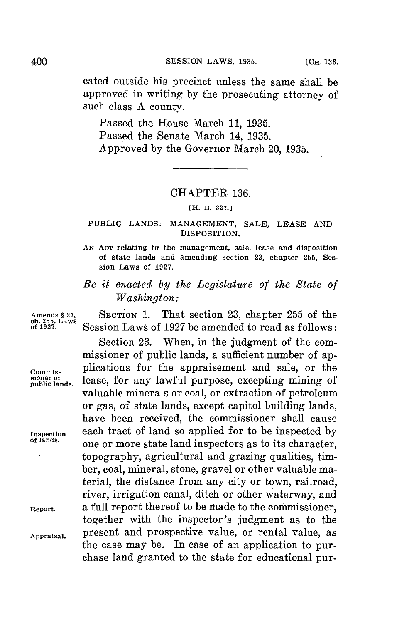cated outside his precinct unless the same shall be approved in writing **by** the prosecuting attorney of such class **A** county.

Passed the House March **11, 1935.** Passed the Senate March 14, **1935.** Approved **by** the Governor March 20, **1935.**

## CHAPTER **136.**

## **[H. B. 327.]**

## **PUBLIC LANDS: MANAGEMENT, SALE, LEASE AND DISPOSITION.**

*AN* **AcT relating to the management, sale, lease and disposition of state lands and amending section 23, chapter 255, Session Laws of 1927.**

## *Be it enacted by the Legislature of the State of Washington:*

**Amends § 23, SECTION 1.** That section **23,** chapter **255** of the **of 1927.** Session Laws of **1927** be amended to read as follows:

Section **23.** When, in the judgment of the commissioner of public lands, a sufficient number of ap-Commis-<br> **COMP COMP COMP COMP COMP COMP COMP COMP COMP COMP COMP COMP COMP COMP COMP COMP COMP COMP COMP COMP COMP COMP COMP COMP COMP COMP COMP COMP COMP COMP CO** lease, for any lawful purpose, excepting mining of valuable minerals or coal, or extraction of petroleum or gas, of state lands, except capitol building lands, have been received, the commissioner shall cause **Inspection** each tract of land so applied for to be inspected **by of lands.** one or more state land inspectors as to its character, topography, agricultural and grazing qualities, timber, coal, mineral, stone, gravel or other valuable material, the distance from any city or town, railroad, river, irrigation canal, ditch or other waterway, and **Report.** a full report thereof to be made to the commissioner, together with the inspector's judgment as to the **Appraisal.** present and prospective value, or rental value, as the case may be. In case of an application to purchase land granted to the state for educational pur-

Amends § 23,<br>ch. 255, Laws<br>of 1927.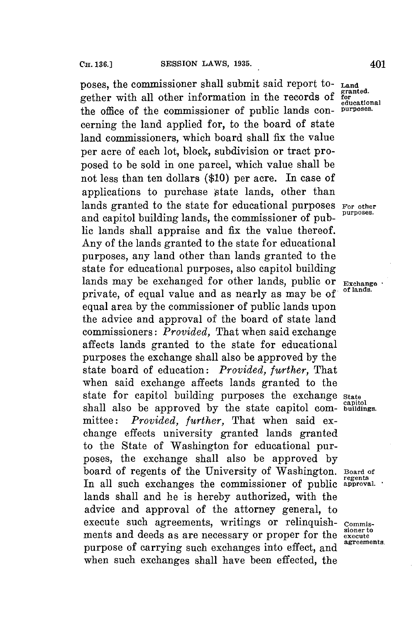poses, the commissioner shall submit said report to- **Land** onther with all other information in the records of **for granted.** gether with all other information in the records of **for** the office of the commissioner of public lands concerning the land applied for, to the board of state land commissioners, which board shall fix the value per acre of each lot, block, subdivision or tract proposed to be sold in one parcel, which value shall be not less than ten dollars **(\$10)** per acre. In case of applications to purchase state lands, other than lands granted to the state for educational purposes For other and capitol building lands, the commissioner of public lands shall appraise and fix the value thereof. Any of the lands granted to the state **for** educational purposes, any land other than lands granted to the state for educational purposes, also capitol building lands may be exchanged for other lands, public or **Exchange** private, of equal value and as nearly as may be of equal area **by** the commissioner of public lands upon the advice and approval of the board of state land commissioners: *Provided,* That when said exchange affects lands granted to the state for educational purposes the exchange shall also be approved **by** the state board of education: *Provided, further,* That when said exchange affects lands granted to the state **for** capitol building purposes the exchange **state** shall also be approved by the state capitol com- **buildings**. mittee: *Provided, further,* That when said exchange effects university granted lands granted to the State of Washington for educational purposes, the exchange shall also be approved **by** board of regents of the University of Washington. **Board of regents** In all such exchanges the commissioner of public **approval.** lands shall and he is hereby authorized, with the advice and approval of the attorney general, to execute such agreements, writings or relinquish- commisments and deeds as are necessary or proper for the **execute** purpose of carrying such exchanges into effect, and when such exchanges shall have been effected, the

**educational**

**agreements.**